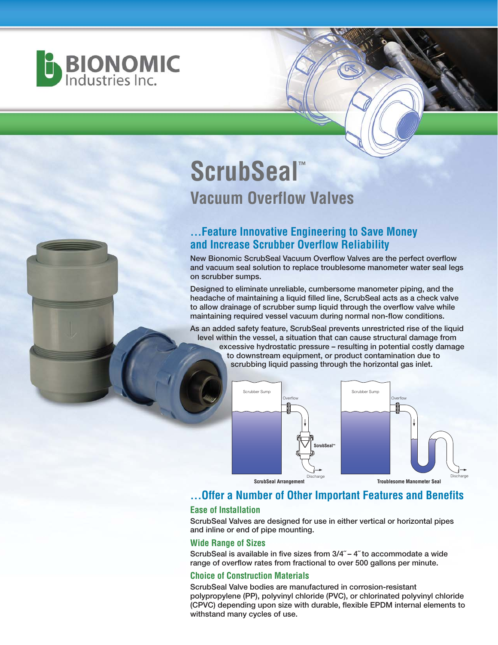

# **ScrubSeal™ Vacuum Overflow Valves**

## **...Feature Innovative Engineering to Save Money and Increase Scrubber Overflow Reliability**

**New Bionomic ScrubSeal Vacuum Overflow Valves are the perfect overflow and vacuum seal solution to replace troublesome manometer water seal legs on scrubber sumps.**

**Designed to eliminate unreliable, cumbersome manometer piping, and the headache of maintaining a liquid filled line, ScrubSeal acts as a check valve to allow drainage of scrubber sump liquid through the overflow valve while maintaining required vessel vacuum during normal non-flow conditions.**

**As an added safety feature, ScrubSeal prevents unrestricted rise of the liquid level within the vessel, a situation that can cause structural damage from excessive hydrostatic pressure – resulting in potential costly damage to downstream equipment, or product contamination due to scrubbing liquid passing through the horizontal gas inlet.**





**ScrubSeal Arrangement** 

**Troublesome Manometer Seal**

## **...Offer a Number of Other Important Features and Benefits**

#### **Ease of Installation**

**ScrubSeal Valves are designed for use in either vertical or horizontal pipes and inline or end of pipe mounting.**

#### **Wide Range of Sizes**

**ScrubSeal is available in five sizes from 3/4˝ – 4˝ to accommodate a wide range of overflow rates from fractional to over 500 gallons per minute.**

#### **Choice of Construction Materials**

**ScrubSeal Valve bodies are manufactured in corrosion-resistant polypropylene (PP), polyvinyl chloride (PVC), or chlorinated polyvinyl chloride (CPVC) depending upon size with durable, flexible EPDM internal elements to withstand many cycles of use.**